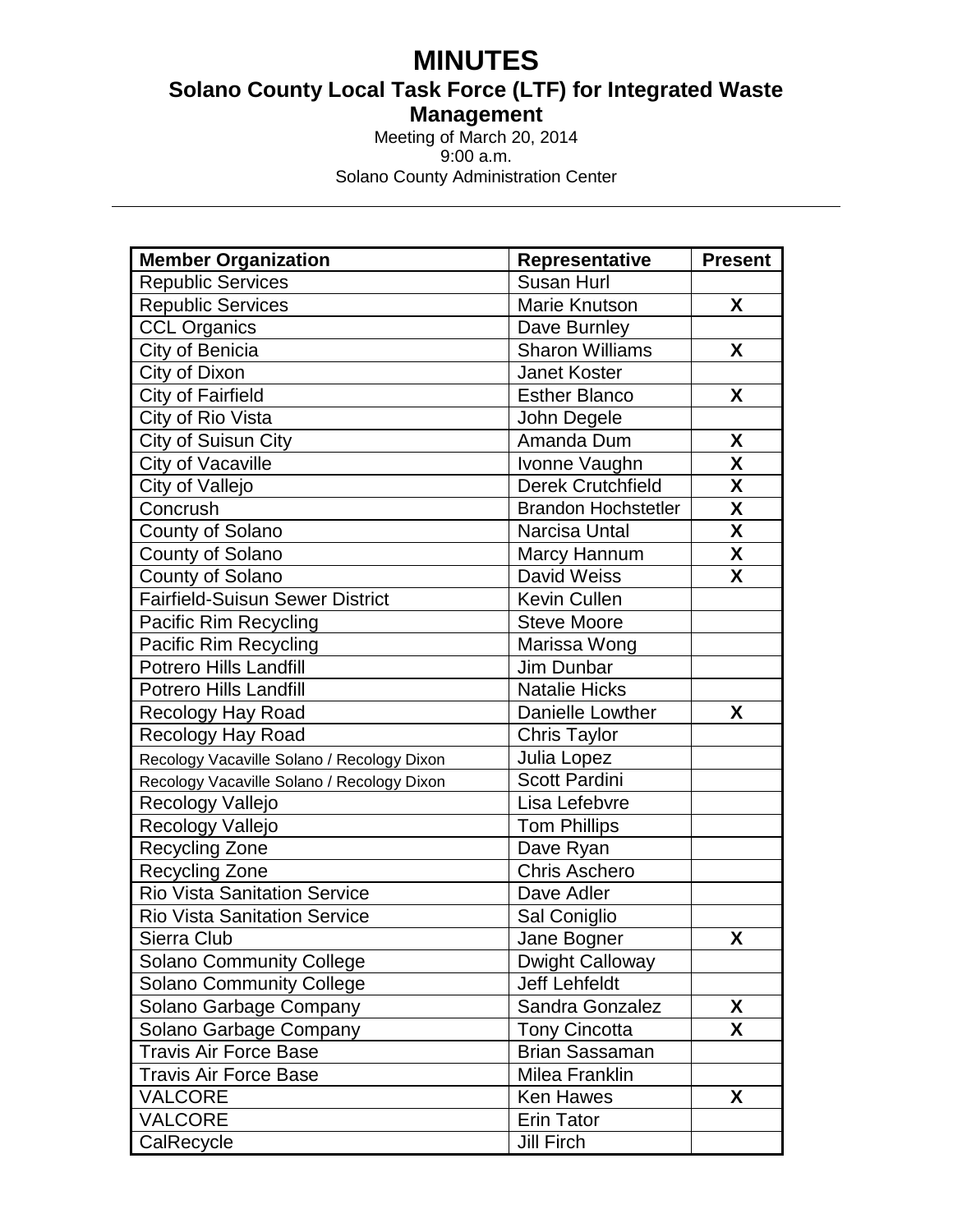# **MINUTES**

**Solano County Local Task Force (LTF) for Integrated Waste Management**

Meeting of March 20, 2014 9:00 a.m. Solano County Administration Center

| <b>Member Organization</b>                 | <b>Representative</b>      | <b>Present</b>          |
|--------------------------------------------|----------------------------|-------------------------|
| <b>Republic Services</b>                   | Susan Hurl                 |                         |
| <b>Republic Services</b>                   | Marie Knutson              | X                       |
| <b>CCL Organics</b>                        | Dave Burnley               |                         |
| City of Benicia                            | <b>Sharon Williams</b>     | X                       |
| City of Dixon                              | <b>Janet Koster</b>        |                         |
| City of Fairfield                          | <b>Esther Blanco</b>       | X                       |
| City of Rio Vista                          | John Degele                |                         |
| City of Suisun City                        | Amanda Dum                 | X                       |
| City of Vacaville                          | Ivonne Vaughn              | X                       |
| City of Vallejo                            | <b>Derek Crutchfield</b>   | $\overline{\mathbf{X}}$ |
| Concrush                                   | <b>Brandon Hochstetler</b> | $\overline{\mathsf{X}}$ |
| County of Solano                           | Narcisa Untal              | X                       |
| County of Solano                           | Marcy Hannum               | $\boldsymbol{X}$        |
| County of Solano                           | David Weiss                | X                       |
| <b>Fairfield-Suisun Sewer District</b>     | Kevin Cullen               |                         |
| Pacific Rim Recycling                      | <b>Steve Moore</b>         |                         |
| Pacific Rim Recycling                      | Marissa Wong               |                         |
| <b>Potrero Hills Landfill</b>              | Jim Dunbar                 |                         |
| <b>Potrero Hills Landfill</b>              | <b>Natalie Hicks</b>       |                         |
| Recology Hay Road                          | Danielle Lowther           | X                       |
| <b>Recology Hay Road</b>                   | <b>Chris Taylor</b>        |                         |
| Recology Vacaville Solano / Recology Dixon | Julia Lopez                |                         |
| Recology Vacaville Solano / Recology Dixon | <b>Scott Pardini</b>       |                         |
| Recology Vallejo                           | Lisa Lefebvre              |                         |
| Recology Vallejo                           | <b>Tom Phillips</b>        |                         |
| Recycling Zone                             | Dave Ryan                  |                         |
| <b>Recycling Zone</b>                      | <b>Chris Aschero</b>       |                         |
| <b>Rio Vista Sanitation Service</b>        | Dave Adler                 |                         |
| <b>Rio Vista Sanitation Service</b>        | Sal Coniglio               |                         |
| Sierra Club                                | Jane Bogner                | X                       |
| <b>Solano Community College</b>            | <b>Dwight Calloway</b>     |                         |
| <b>Solano Community College</b>            | <b>Jeff Lehfeldt</b>       |                         |
| Solano Garbage Company                     | Sandra Gonzalez            | X                       |
| Solano Garbage Company                     | <b>Tony Cincotta</b>       | X                       |
| <b>Travis Air Force Base</b>               | <b>Brian Sassaman</b>      |                         |
| <b>Travis Air Force Base</b>               | Milea Franklin             |                         |
| <b>VALCORE</b>                             | <b>Ken Hawes</b>           | X                       |
| <b>VALCORE</b>                             | <b>Erin Tator</b>          |                         |
| CalRecycle                                 | <b>Jill Firch</b>          |                         |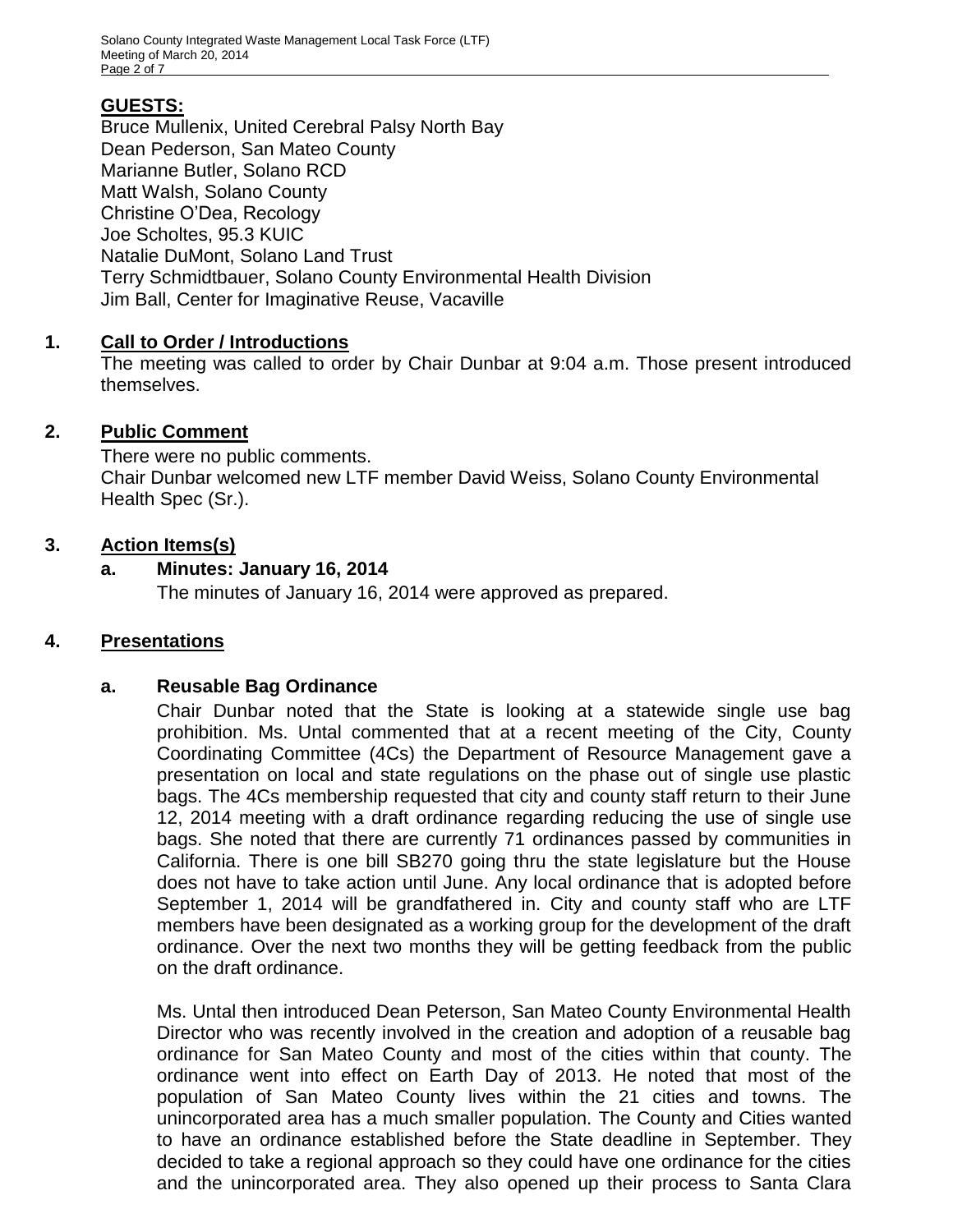# **GUESTS:**

Bruce Mullenix, United Cerebral Palsy North Bay Dean Pederson, San Mateo County Marianne Butler, Solano RCD Matt Walsh, Solano County Christine O'Dea, Recology Joe Scholtes, 95.3 KUIC Natalie DuMont, Solano Land Trust Terry Schmidtbauer, Solano County Environmental Health Division Jim Ball, Center for Imaginative Reuse, Vacaville

## **1. Call to Order / Introductions**

The meeting was called to order by Chair Dunbar at 9:04 a.m. Those present introduced themselves.

# **2. Public Comment**

There were no public comments. Chair Dunbar welcomed new LTF member David Weiss, Solano County Environmental Health Spec (Sr.).

## **3. Action Items(s)**

## **a. Minutes: January 16, 2014**

The minutes of January 16, 2014 were approved as prepared.

# **4. Presentations**

## **a. Reusable Bag Ordinance**

Chair Dunbar noted that the State is looking at a statewide single use bag prohibition. Ms. Untal commented that at a recent meeting of the City, County Coordinating Committee (4Cs) the Department of Resource Management gave a presentation on local and state regulations on the phase out of single use plastic bags. The 4Cs membership requested that city and county staff return to their June 12, 2014 meeting with a draft ordinance regarding reducing the use of single use bags. She noted that there are currently 71 ordinances passed by communities in California. There is one bill SB270 going thru the state legislature but the House does not have to take action until June. Any local ordinance that is adopted before September 1, 2014 will be grandfathered in. City and county staff who are LTF members have been designated as a working group for the development of the draft ordinance. Over the next two months they will be getting feedback from the public on the draft ordinance.

Ms. Untal then introduced Dean Peterson, San Mateo County Environmental Health Director who was recently involved in the creation and adoption of a reusable bag ordinance for San Mateo County and most of the cities within that county. The ordinance went into effect on Earth Day of 2013. He noted that most of the population of San Mateo County lives within the 21 cities and towns. The unincorporated area has a much smaller population. The County and Cities wanted to have an ordinance established before the State deadline in September. They decided to take a regional approach so they could have one ordinance for the cities and the unincorporated area. They also opened up their process to Santa Clara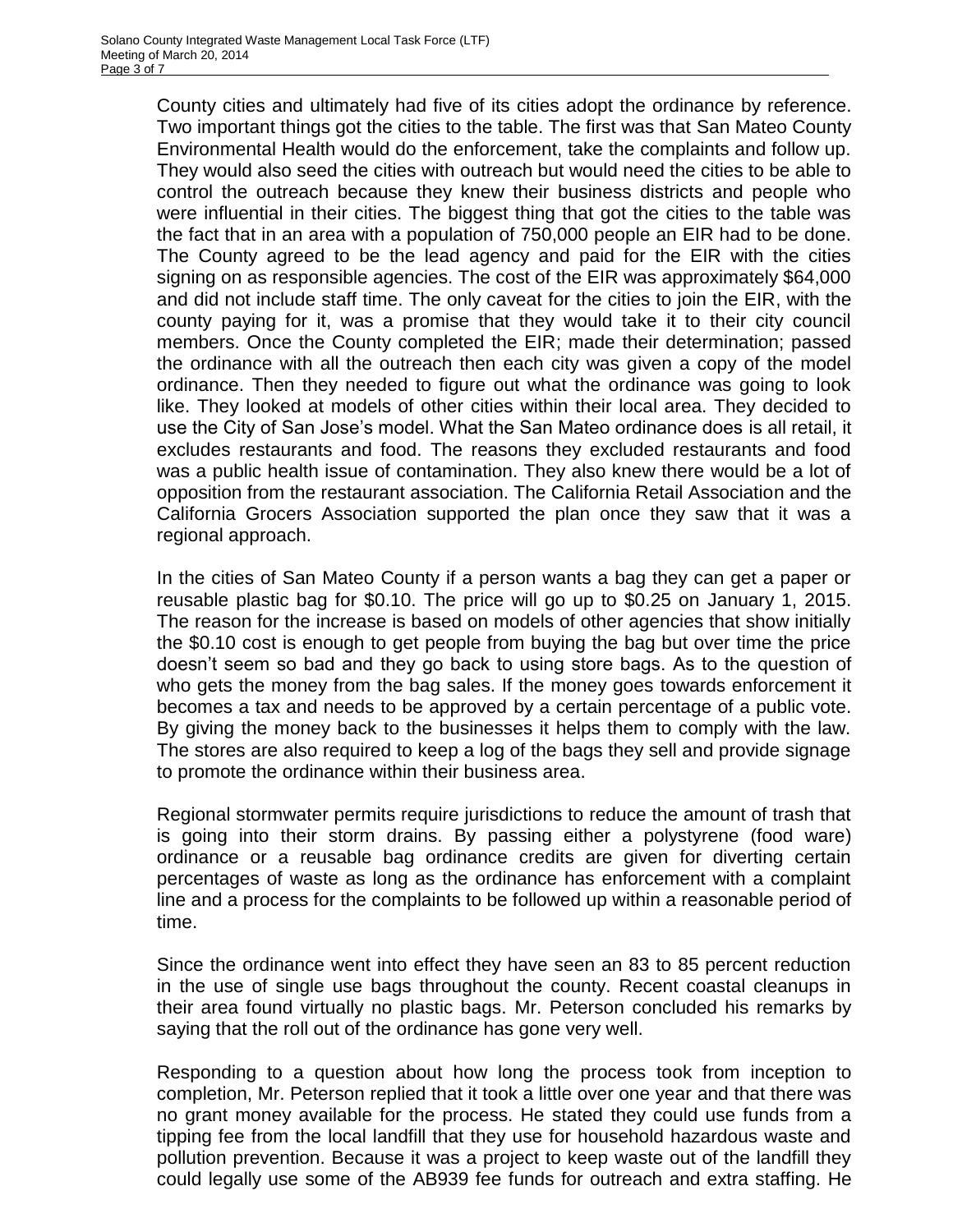County cities and ultimately had five of its cities adopt the ordinance by reference. Two important things got the cities to the table. The first was that San Mateo County Environmental Health would do the enforcement, take the complaints and follow up. They would also seed the cities with outreach but would need the cities to be able to control the outreach because they knew their business districts and people who were influential in their cities. The biggest thing that got the cities to the table was the fact that in an area with a population of 750,000 people an EIR had to be done. The County agreed to be the lead agency and paid for the EIR with the cities signing on as responsible agencies. The cost of the EIR was approximately \$64,000 and did not include staff time. The only caveat for the cities to join the EIR, with the county paying for it, was a promise that they would take it to their city council members. Once the County completed the EIR; made their determination; passed the ordinance with all the outreach then each city was given a copy of the model ordinance. Then they needed to figure out what the ordinance was going to look like. They looked at models of other cities within their local area. They decided to use the City of San Jose's model. What the San Mateo ordinance does is all retail, it excludes restaurants and food. The reasons they excluded restaurants and food was a public health issue of contamination. They also knew there would be a lot of opposition from the restaurant association. The California Retail Association and the California Grocers Association supported the plan once they saw that it was a regional approach.

In the cities of San Mateo County if a person wants a bag they can get a paper or reusable plastic bag for \$0.10. The price will go up to \$0.25 on January 1, 2015. The reason for the increase is based on models of other agencies that show initially the \$0.10 cost is enough to get people from buying the bag but over time the price doesn't seem so bad and they go back to using store bags. As to the question of who gets the money from the bag sales. If the money goes towards enforcement it becomes a tax and needs to be approved by a certain percentage of a public vote. By giving the money back to the businesses it helps them to comply with the law. The stores are also required to keep a log of the bags they sell and provide signage to promote the ordinance within their business area.

Regional stormwater permits require jurisdictions to reduce the amount of trash that is going into their storm drains. By passing either a polystyrene (food ware) ordinance or a reusable bag ordinance credits are given for diverting certain percentages of waste as long as the ordinance has enforcement with a complaint line and a process for the complaints to be followed up within a reasonable period of time.

Since the ordinance went into effect they have seen an 83 to 85 percent reduction in the use of single use bags throughout the county. Recent coastal cleanups in their area found virtually no plastic bags. Mr. Peterson concluded his remarks by saying that the roll out of the ordinance has gone very well.

Responding to a question about how long the process took from inception to completion, Mr. Peterson replied that it took a little over one year and that there was no grant money available for the process. He stated they could use funds from a tipping fee from the local landfill that they use for household hazardous waste and pollution prevention. Because it was a project to keep waste out of the landfill they could legally use some of the AB939 fee funds for outreach and extra staffing. He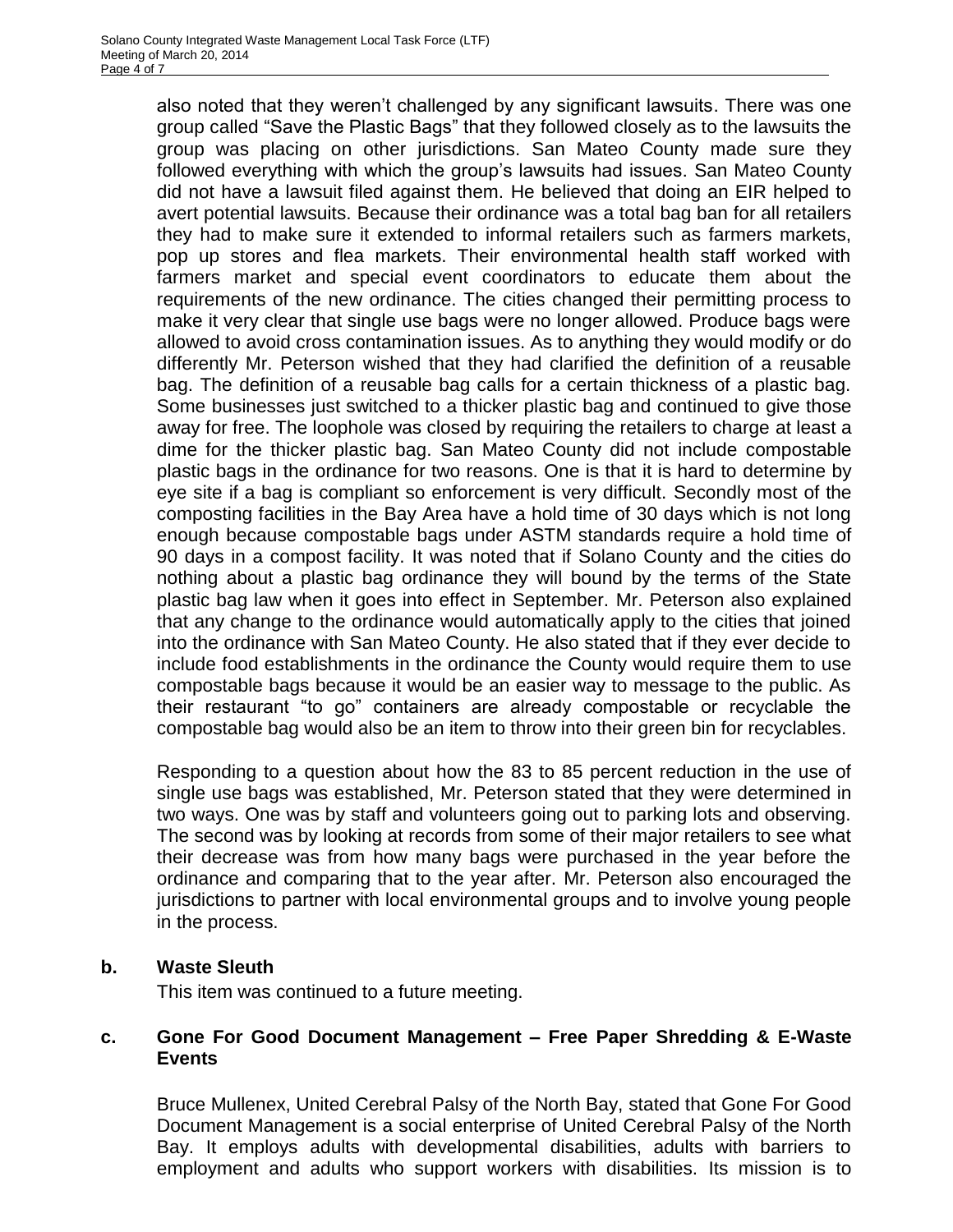also noted that they weren't challenged by any significant lawsuits. There was one group called "Save the Plastic Bags" that they followed closely as to the lawsuits the group was placing on other jurisdictions. San Mateo County made sure they followed everything with which the group's lawsuits had issues. San Mateo County did not have a lawsuit filed against them. He believed that doing an EIR helped to avert potential lawsuits. Because their ordinance was a total bag ban for all retailers they had to make sure it extended to informal retailers such as farmers markets, pop up stores and flea markets. Their environmental health staff worked with farmers market and special event coordinators to educate them about the requirements of the new ordinance. The cities changed their permitting process to make it very clear that single use bags were no longer allowed. Produce bags were allowed to avoid cross contamination issues. As to anything they would modify or do differently Mr. Peterson wished that they had clarified the definition of a reusable bag. The definition of a reusable bag calls for a certain thickness of a plastic bag. Some businesses just switched to a thicker plastic bag and continued to give those away for free. The loophole was closed by requiring the retailers to charge at least a dime for the thicker plastic bag. San Mateo County did not include compostable plastic bags in the ordinance for two reasons. One is that it is hard to determine by eye site if a bag is compliant so enforcement is very difficult. Secondly most of the composting facilities in the Bay Area have a hold time of 30 days which is not long enough because compostable bags under ASTM standards require a hold time of 90 days in a compost facility. It was noted that if Solano County and the cities do nothing about a plastic bag ordinance they will bound by the terms of the State plastic bag law when it goes into effect in September. Mr. Peterson also explained that any change to the ordinance would automatically apply to the cities that joined into the ordinance with San Mateo County. He also stated that if they ever decide to include food establishments in the ordinance the County would require them to use compostable bags because it would be an easier way to message to the public. As their restaurant "to go" containers are already compostable or recyclable the compostable bag would also be an item to throw into their green bin for recyclables.

Responding to a question about how the 83 to 85 percent reduction in the use of single use bags was established, Mr. Peterson stated that they were determined in two ways. One was by staff and volunteers going out to parking lots and observing. The second was by looking at records from some of their major retailers to see what their decrease was from how many bags were purchased in the year before the ordinance and comparing that to the year after. Mr. Peterson also encouraged the jurisdictions to partner with local environmental groups and to involve young people in the process.

#### **b. Waste Sleuth**

This item was continued to a future meeting.

#### **c. Gone For Good Document Management – Free Paper Shredding & E-Waste Events**

Bruce Mullenex, United Cerebral Palsy of the North Bay, stated that Gone For Good Document Management is a social enterprise of United Cerebral Palsy of the North Bay. It employs adults with developmental disabilities, adults with barriers to employment and adults who support workers with disabilities. Its mission is to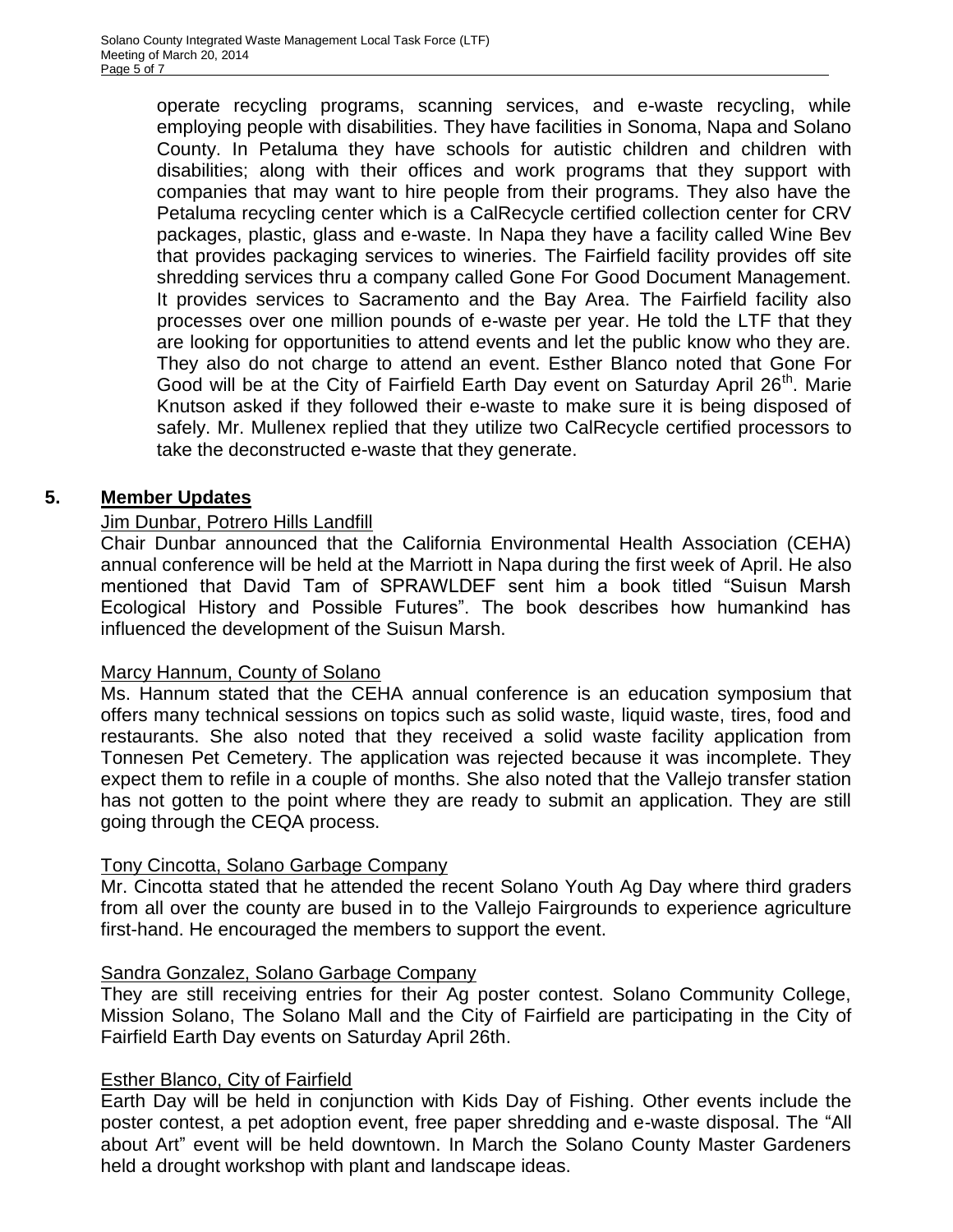operate recycling programs, scanning services, and e-waste recycling, while employing people with disabilities. They have facilities in Sonoma, Napa and Solano County. In Petaluma they have schools for autistic children and children with disabilities; along with their offices and work programs that they support with companies that may want to hire people from their programs. They also have the Petaluma recycling center which is a CalRecycle certified collection center for CRV packages, plastic, glass and e-waste. In Napa they have a facility called Wine Bev that provides packaging services to wineries. The Fairfield facility provides off site shredding services thru a company called Gone For Good Document Management. It provides services to Sacramento and the Bay Area. The Fairfield facility also processes over one million pounds of e-waste per year. He told the LTF that they are looking for opportunities to attend events and let the public know who they are. They also do not charge to attend an event. Esther Blanco noted that Gone For Good will be at the City of Fairfield Earth Day event on Saturday April 26<sup>th</sup>. Marie Knutson asked if they followed their e-waste to make sure it is being disposed of safely. Mr. Mullenex replied that they utilize two CalRecycle certified processors to take the deconstructed e-waste that they generate.

#### **5. Member Updates**

#### Jim Dunbar, Potrero Hills Landfill

Chair Dunbar announced that the California Environmental Health Association (CEHA) annual conference will be held at the Marriott in Napa during the first week of April. He also mentioned that David Tam of SPRAWLDEF sent him a book titled "Suisun Marsh Ecological History and Possible Futures". The book describes how humankind has influenced the development of the Suisun Marsh.

#### Marcy Hannum, County of Solano

Ms. Hannum stated that the CEHA annual conference is an education symposium that offers many technical sessions on topics such as solid waste, liquid waste, tires, food and restaurants. She also noted that they received a solid waste facility application from Tonnesen Pet Cemetery. The application was rejected because it was incomplete. They expect them to refile in a couple of months. She also noted that the Vallejo transfer station has not gotten to the point where they are ready to submit an application. They are still going through the CEQA process.

#### Tony Cincotta, Solano Garbage Company

Mr. Cincotta stated that he attended the recent Solano Youth Ag Day where third graders from all over the county are bused in to the Vallejo Fairgrounds to experience agriculture first-hand. He encouraged the members to support the event.

#### Sandra Gonzalez, Solano Garbage Company

They are still receiving entries for their Ag poster contest. Solano Community College, Mission Solano, The Solano Mall and the City of Fairfield are participating in the City of Fairfield Earth Day events on Saturday April 26th.

#### Esther Blanco, City of Fairfield

Earth Day will be held in conjunction with Kids Day of Fishing. Other events include the poster contest, a pet adoption event, free paper shredding and e-waste disposal. The "All about Art" event will be held downtown. In March the Solano County Master Gardeners held a drought workshop with plant and landscape ideas.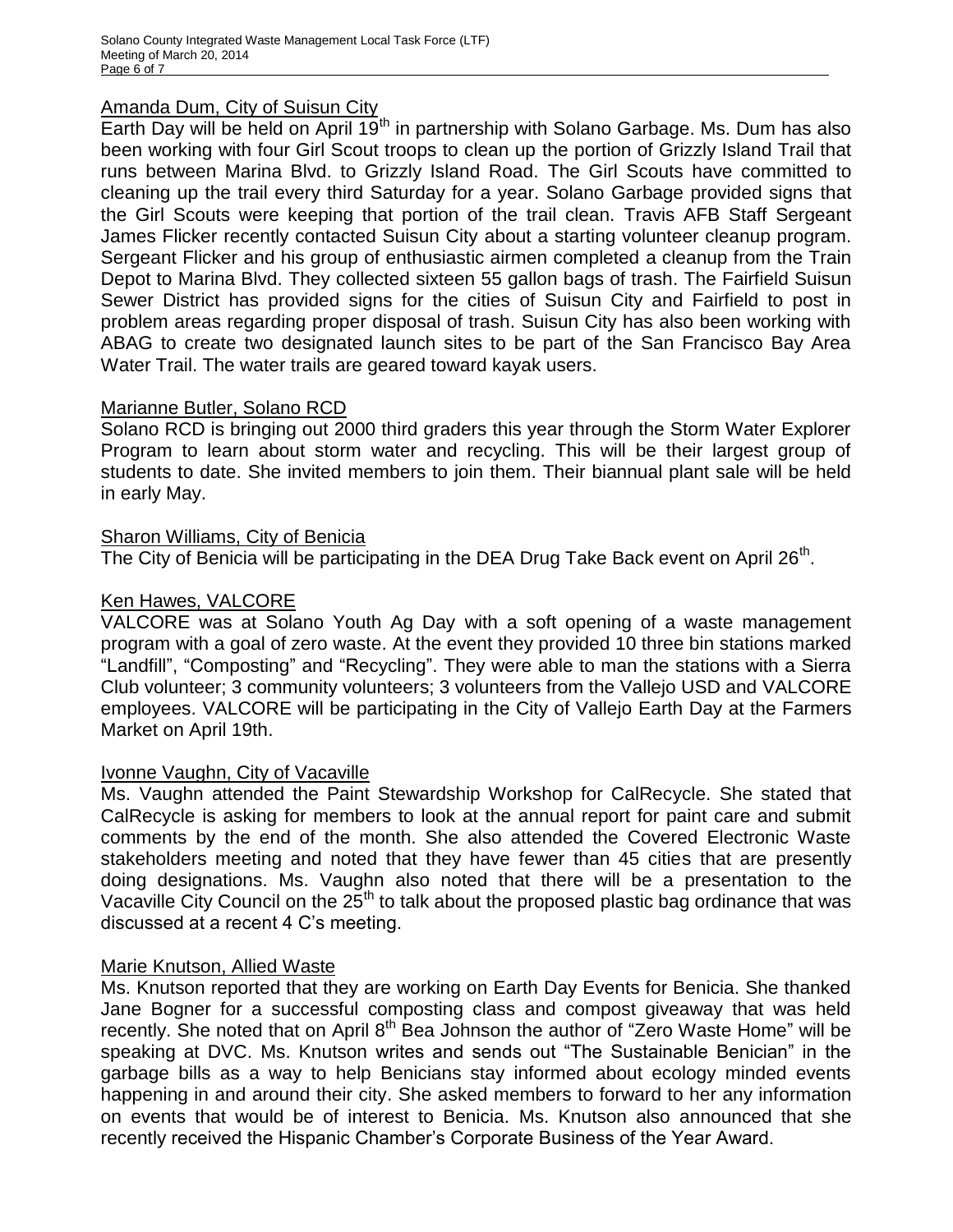#### Amanda Dum, City of Suisun City

Earth Day will be held on April  $19<sup>th</sup>$  in partnership with Solano Garbage. Ms. Dum has also been working with four Girl Scout troops to clean up the portion of Grizzly Island Trail that runs between Marina Blvd. to Grizzly Island Road. The Girl Scouts have committed to cleaning up the trail every third Saturday for a year. Solano Garbage provided signs that the Girl Scouts were keeping that portion of the trail clean. Travis AFB Staff Sergeant James Flicker recently contacted Suisun City about a starting volunteer cleanup program. Sergeant Flicker and his group of enthusiastic airmen completed a cleanup from the Train Depot to Marina Blvd. They collected sixteen 55 gallon bags of trash. The Fairfield Suisun Sewer District has provided signs for the cities of Suisun City and Fairfield to post in problem areas regarding proper disposal of trash. Suisun City has also been working with ABAG to create two designated launch sites to be part of the San Francisco Bay Area Water Trail. The water trails are geared toward kayak users.

#### Marianne Butler, Solano RCD

Solano RCD is bringing out 2000 third graders this year through the Storm Water Explorer Program to learn about storm water and recycling. This will be their largest group of students to date. She invited members to join them. Their biannual plant sale will be held in early May.

#### Sharon Williams, City of Benicia

The City of Benicia will be participating in the DEA Drug Take Back event on April 26<sup>th</sup>.

#### Ken Hawes, VALCORE

VALCORE was at Solano Youth Ag Day with a soft opening of a waste management program with a goal of zero waste. At the event they provided 10 three bin stations marked "Landfill", "Composting" and "Recycling". They were able to man the stations with a Sierra Club volunteer; 3 community volunteers; 3 volunteers from the Vallejo USD and VALCORE employees. VALCORE will be participating in the City of Vallejo Earth Day at the Farmers Market on April 19th.

#### Ivonne Vaughn, City of Vacaville

Ms. Vaughn attended the Paint Stewardship Workshop for CalRecycle. She stated that CalRecycle is asking for members to look at the annual report for paint care and submit comments by the end of the month. She also attended the Covered Electronic Waste stakeholders meeting and noted that they have fewer than 45 cities that are presently doing designations. Ms. Vaughn also noted that there will be a presentation to the Vacaville City Council on the  $25<sup>th</sup>$  to talk about the proposed plastic bag ordinance that was discussed at a recent 4 C's meeting.

#### Marie Knutson, Allied Waste

Ms. Knutson reported that they are working on Earth Day Events for Benicia. She thanked Jane Bogner for a successful composting class and compost giveaway that was held recently. She noted that on April 8<sup>th</sup> Bea Johnson the author of "Zero Waste Home" will be speaking at DVC. Ms. Knutson writes and sends out "The Sustainable Benician" in the garbage bills as a way to help Benicians stay informed about ecology minded events happening in and around their city. She asked members to forward to her any information on events that would be of interest to Benicia. Ms. Knutson also announced that she recently received the Hispanic Chamber's Corporate Business of the Year Award.